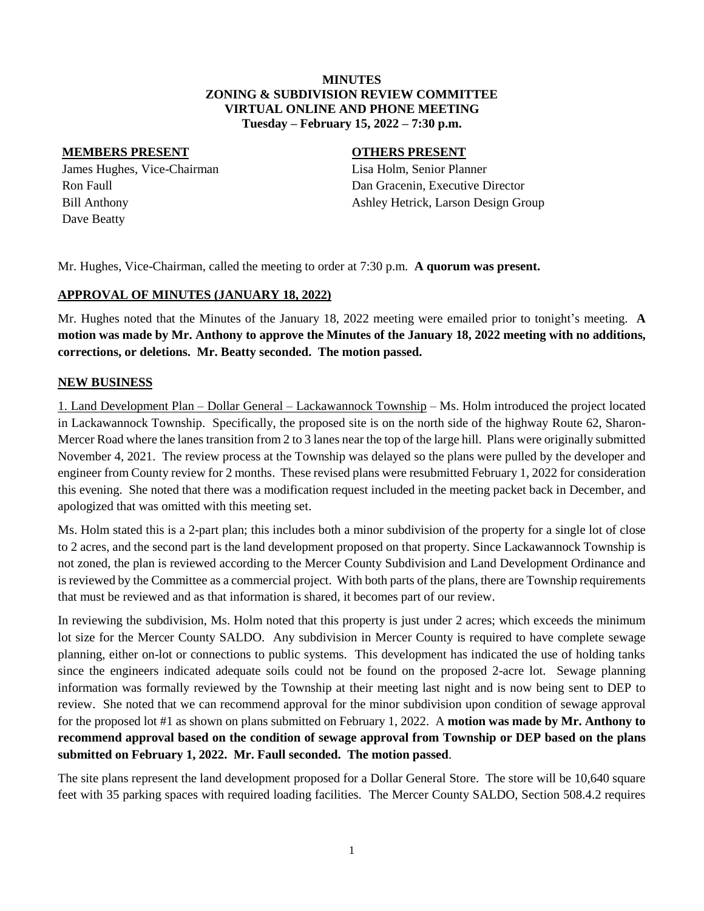### **MINUTES ZONING & SUBDIVISION REVIEW COMMITTEE VIRTUAL ONLINE AND PHONE MEETING Tuesday – February 15, 2022 – 7:30 p.m.**

### **MEMBERS PRESENT OTHERS PRESENT**

James Hughes, Vice-Chairman Lisa Holm, Senior Planner Dave Beatty

Ron Faull **Rounded Ron Faull** Dan Gracenin, Executive Director Bill Anthony Ashley Hetrick, Larson Design Group

Mr. Hughes, Vice-Chairman, called the meeting to order at 7:30 p.m. **A quorum was present.**

## **APPROVAL OF MINUTES (JANUARY 18, 2022)**

Mr. Hughes noted that the Minutes of the January 18, 2022 meeting were emailed prior to tonight's meeting. **A motion was made by Mr. Anthony to approve the Minutes of the January 18, 2022 meeting with no additions, corrections, or deletions. Mr. Beatty seconded. The motion passed.**

## **NEW BUSINESS**

1. Land Development Plan – Dollar General – Lackawannock Township – Ms. Holm introduced the project located in Lackawannock Township. Specifically, the proposed site is on the north side of the highway Route 62, Sharon-Mercer Road where the lanes transition from 2 to 3 lanes near the top of the large hill. Plans were originally submitted November 4, 2021. The review process at the Township was delayed so the plans were pulled by the developer and engineer from County review for 2 months. These revised plans were resubmitted February 1, 2022 for consideration this evening. She noted that there was a modification request included in the meeting packet back in December, and apologized that was omitted with this meeting set.

Ms. Holm stated this is a 2-part plan; this includes both a minor subdivision of the property for a single lot of close to 2 acres, and the second part is the land development proposed on that property. Since Lackawannock Township is not zoned, the plan is reviewed according to the Mercer County Subdivision and Land Development Ordinance and is reviewed by the Committee as a commercial project. With both parts of the plans, there are Township requirements that must be reviewed and as that information is shared, it becomes part of our review.

In reviewing the subdivision, Ms. Holm noted that this property is just under 2 acres; which exceeds the minimum lot size for the Mercer County SALDO. Any subdivision in Mercer County is required to have complete sewage planning, either on-lot or connections to public systems. This development has indicated the use of holding tanks since the engineers indicated adequate soils could not be found on the proposed 2-acre lot. Sewage planning information was formally reviewed by the Township at their meeting last night and is now being sent to DEP to review. She noted that we can recommend approval for the minor subdivision upon condition of sewage approval for the proposed lot #1 as shown on plans submitted on February 1, 2022. A **motion was made by Mr. Anthony to recommend approval based on the condition of sewage approval from Township or DEP based on the plans submitted on February 1, 2022. Mr. Faull seconded. The motion passed**.

The site plans represent the land development proposed for a Dollar General Store. The store will be 10,640 square feet with 35 parking spaces with required loading facilities. The Mercer County SALDO, Section 508.4.2 requires